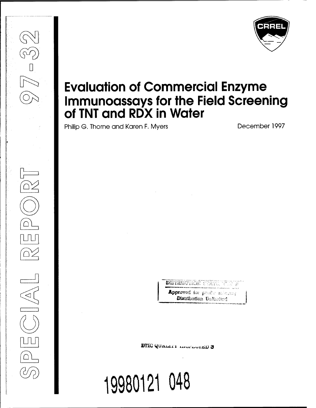

# **Evaluation of Commercial Enzyme Immunoassays for the Field Screening of TNT and RDX in Water**

Philip G. Thorne and Karen F. Myers **December 1997** 

**(s^a**

D

**0^**

**(§A5**

**\***

**;** *<sfy*

s&»iiiAis>u'i.l0.i'.i *',:'-* ','A'i *•*.1.. ;' <sup>J</sup>'!

Approved for possible released **Distribution Unlimited** 

**BflC (HJUAJJU i iivox'^v/xiiii) 3**

**19980121 048**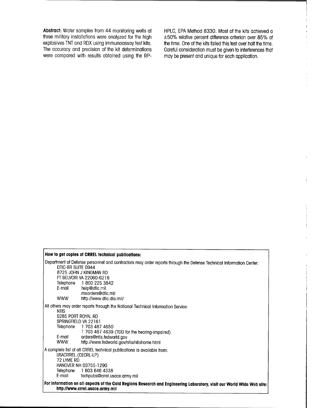**Abstract:** Water samples from 44 monitoring wells at three military installations were analyzed tor the high explosives TNT and RDX using immunoassay test kits. The accuracy and precision ot the kit determinations were compared with results obtained using the RP-

HPLC, EPA Method 8330. Most of the kits achieved a +50% relative percent difference criterion over 85% of the time. One of the kits failed this test over half the time. Careful consideration must be given to interferences that may be present and unique for each application.

| How to get copies of CRREL technical publications:                                                                                                                                                                                                                                                                           |  |
|------------------------------------------------------------------------------------------------------------------------------------------------------------------------------------------------------------------------------------------------------------------------------------------------------------------------------|--|
| Department of Defense personnel and contractors may order reports through the Defense Technical Information Center:<br>DTIC-BR SUITE 0944<br>8725 JOHN J KINGMAN RD<br>FT BELVOIR VA 22060-6218<br>Telephone 1 800 225 3842<br>E-mail<br>help@dtic.mil<br>msorders@dfic.mil<br><b>WWW</b><br>http://www.dtic.dla.mil/        |  |
| All others may order reports through the National Technical Information Service:<br><b>NTIS</b><br>5285 PORT ROYAL RD<br>SPRINGFIELD VA 22161<br>Telephone 1 703 487 4650<br>1 703 487 4639 (TDD for the hearing-impaired)<br>E-mail<br>orders@ntis.fedworld.gov<br><b>WWW</b><br>http://www.fedworld.gov/ntis/ntishome.html |  |
| A complete list of all CRREL technical publications is available from:<br>USACRREL (CECRL-LP)<br>72 LYME RD<br>HANOVER NH 03755-1290<br>Telephone 1 603 646 4338<br>E-mail<br>techpubs@crrel.usace.army.mil                                                                                                                  |  |
| For information on all aspects of the Cold Regions Research and Engineering Laboratory, visit our World Wide Web site:<br>http://www.crrel.usace.army.mil                                                                                                                                                                    |  |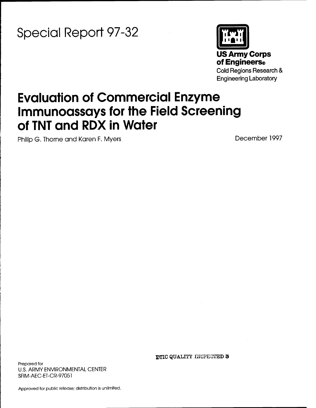**Special Report 97-32**



# **Evaluation of Commercial Enzyme Immunoassays for the Field Screening of TNT and RDX in Water**

Philip G. Thorne and Karen F. Myers December 1997

Prepared for U.S. ARMY ENVIRONMENTAL CENTER SFIM-AEC-ET-CR-97051

DTIC QUALITY INSPECTED 8

Approved for public release; distribution is unlimited.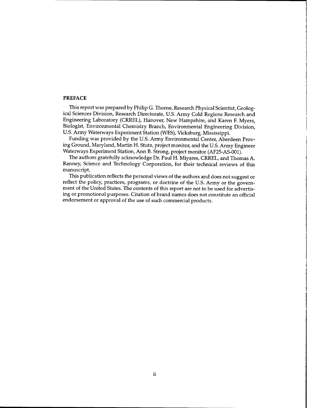#### PREFACE

This report was prepared by Philip G. Thorne, Research Physical Scientist, Geological Sciences Division, Research Directorate, U.S. Army Cold Regions Research and Engineering Laboratory (CRREL), Hanover, New Hampshire, and Karen F. Myers, Biologist, Environmental Chemistry Branch, Environmental Engineering Division, U.S. Army Waterways Experiment Station (WES), Vicksburg, Mississippi.

Funding was provided by the U.S. Army Environmental Center, Aberdeen Proving Ground, Maryland, Martin H. Stutz, project monitor, and the U.S. Army Engineer Waterways Experiment Station, Ann B. Strong, project monitor (AF25-AS-001).

The authors gratefully acknowledge Dr. Paul H. Miyares, CRREL, and Thomas A. Ranney, Science and Technology Corporation, for their technical reviews of this manuscript.

This publication reflects the personal views of the authors and does not suggest or reflect the policy, practices, programs, or doctrine of the U.S. Army or the government of the United States. The contents of this report are not to be used for advertising or promotional purposes. Citation of brand names does not constitute an official endorsement or approval of the use of such commercial products.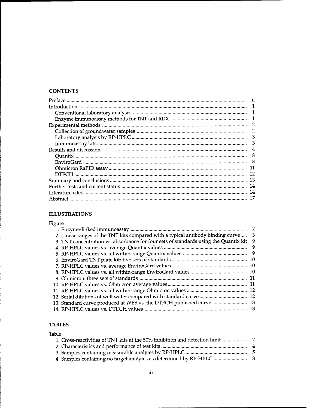## **CONTENTS**

 $\sim$   $\sim$ 

| 3   |
|-----|
| 3   |
| 4   |
| 8   |
|     |
|     |
| -12 |
|     |
| 14  |
| -14 |
|     |

## **ILLUSTRATIONS**

| Figure                                                                               |    |
|--------------------------------------------------------------------------------------|----|
|                                                                                      |    |
| 2. Linear ranges of the TNT kits compared with a typical antibody binding curve      | -3 |
| 3. TNT concentration vs. absorbance for four sets of standards using the Quantix kit | 9  |
|                                                                                      | -9 |
|                                                                                      |    |
|                                                                                      |    |
|                                                                                      |    |
|                                                                                      |    |
|                                                                                      |    |
|                                                                                      |    |
|                                                                                      |    |
|                                                                                      |    |
| 13. Standard curve produced at WES vs. the DTECH published curve  13                 |    |
|                                                                                      |    |

# **TABLES**

| Table |  |
|-------|--|
|       |  |
|       |  |
|       |  |
|       |  |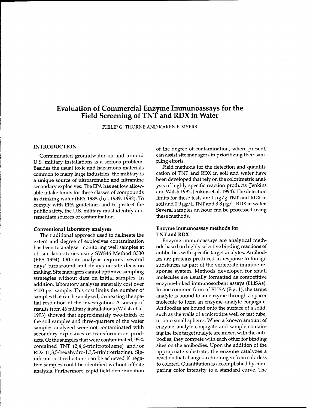# Evaluation of Commercial Enzyme Immunoassays for the Field Screening of TNT and RDX in Water

PHILIP G. THORNE AND KAREN F. MYERS

#### **INTRODUCTION**

Contaminated groundwater on and around U.S. military installations is a serious problem. Besides the usual toxic and hazardous materials common to many large industries, the military is a unique source of nitroaromatic and nitramine secondary explosives. The EPA has set low allowable intake limits for these classes of compounds in drinking water (EPA 1988a,b,c, 1989,1992). To comply with EPA guidelines and to protect the public safety, the U.S. military must identify and remediate sources of contamination.

#### **Conventional laboratory analyses**

The traditional approach used to delineate the extent and degree of explosives contamination has been to analyze monitoring well samples at off-site laboratories using SW846 Method 8330 (EPA 1994). Off-site analysis requires several days' turnaround and delays on-site decision making. Site managers cannot optimize sampling strategies without data on initial samples. In addition, laboratory analyses generally cost over \$200 per sample. This cost limits the number of samples that can be analyzed, decreasing the spatial resolution of the investigation. A survey of results from 46 military installations (Walsh et al. 1993) showed that approximately two-thirds of the soil samples and three-quarters of the water samples analyzed were not contaminated with secondary explosives or transformation products. Of the samples that were contaminated, 95% contained TNT (2,4,6-trinitrotoluene) and/or RDX (l,3,5-hexahydro-l,3,5-trinitrotriazine). Significant cost reductions can be achieved if negative samples could be identified without off-site analysis. Furthermore, rapid field determination

of the degree of contamination, where present, can assist site managers in prioritizing their sampling efforts.

Field methods for the detection and quantification of TNT and RDX in soil and water have been developed that rely on the colorimetric analysis of highly specific reaction products (Jenkins and Walsh 1992, Jenkins et al. 1994). The detection limits for these tests are  $1 \mu g/g$  TNT and RDX in soil and  $0.9 \mu g/L$  TNT and  $3.8 \mu g/L$  RDX in water. Several samples an hour can be processed using these methods.

## **Enzyme immunoassay methods for TNT and RDX**

Enzyme immunoassays are analytical methods based on highly selective binding reactions of antibodies with specific target analytes. Antibodies are proteins produced in response to foreign substances as part of the vertebrate immune response system. Methods developed for small molecules are usually formatted as competitive enzyme-linked immunosorbent assays (ELISAs). In one common form of ELISA (Fig. 1), the target analyte is bound to an enzyme through a spacer molecule to form an enzyme-analyte conjugate. Antibodies are bound onto the surface of a solid, such as the walls of a microtitre well or test tube, or onto small spheres. When a known amount of enzyme-analyte conjugate and sample containing the free target analyte are mixed with the antibodies, they compete with each other for binding sites on the antibodies. Upon the addition of the appropriate substrate, the enzyme catalyzes a reaction that changes a chromogen from colorless to colored. Quantitation is accomplished by comparing color intensity to a standard curve. The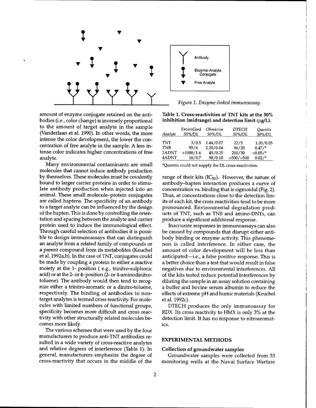

amount of enzyme conjugate retained on the antibodies (i.e., color change) is inversely proportional to the amount of target analyte in the sample (Vanderlaan et al. 1990). In other words, the more intense the color development, the lower the concentration of free analyte in the sample. A less intense color indicates higher concentrations of free analyte.

Many environmental contaminants are small molecules that cannot induce antibody production by themselves. These molecules must be covalently bound to larger carrier proteins in order to stimulate antibody production when injected into an animal. These small molecule-protein conjugates are called haptens. The specificity of an antibody to a target analyte can be influenced by the design of the hapten. This is done by controlling the orientation and spacing between the analyte and carrier protein used to induce the immunological effect. Through careful selection of antibodies it is possible to design immunoassays that can distinguish an analyte from a related family of compounds or **a** parent compound from its metabolites (Keuchel et al. 1992a,b). In the case of TNT, conjugates could be made by coupling a protein to either a reactive moiety at the 1- position ( e.g., trinitro-sulphonic acid) or at the 2- or 4- position (2- or 4-aminodinitrotoluene). The antibody would then tend to recognize either a trinitro-aromatic or a dinitro-toluene, respectively. The binding of antibodies to nontarget analytes is termed cross reactivity. For molecules with limited numbers of functional groups, specificity becomes more difficult and cross reactivity with other structurally related molecules becomes more likely.

The various schemes that were used by the four manufacturers to produce anti-TNT antibodies resulted in a wide variety of cross-reactive analytes and relative degrees of interference (Table 1). In general, manufacturers emphasize the degree of cross-reactivity that occurs in the middle of the



*Figure 1. Enzyme-linked immunoassay.*

**Table 1. Cross-reactivities of TNT kits at the 50%**  $i$ nhibition (midrange) and detection limit (µg/L).

| Analyte    | <b>EnviroGard</b><br>50%/DL | <i><b>Ohmicron</b></i><br>50%/DL | <b>DTECH</b><br>50%/DL | Quantix<br>50%/DL |
|------------|-----------------------------|----------------------------------|------------------------|-------------------|
| <b>TNT</b> | 3/0.5                       | 1.44/0.07                        | 22/5                   | 1.00/0.05         |
| <b>TNB</b> | 95/6                        | 2.20/0.04                        | 96/20                  | $0.47/$ *         |
| 2ADNT      | >1000/1.6                   | 45/0.25                          | 200/30                 | $< 0.05/$ *       |
| 4ADNT      | 16/0.7                      | 98/0.10                          | $>500/$ $>500$         | $0.02/*$          |

\*Quantix could not supply the DL cross-reactivities.

range of their kits ( $IC_{50}$ ). However, the nature of antibody-hapten interaction produces a curve of concentration vs. binding that is sigmoidal (Fig. 2). Thus, at concentrations close to the detection limits of each kit, the cross reactivities tend to be more pronounced. Environmental degradation products of TNT, such as TNB and amino-DNTs, can produce a significant additional response.

Inaccurate responses in immunoassays can also be caused by compounds that disrupt either antibody binding or enzyme activity. This phenomenon is called interference. In either case, the amount of color development will be less than anticipated—i.e., a false positive response. This is a better choice than a test that would result in false negatives due to environmental interferences. All of the kits tested reduce potential interferences by diluting the sample in an assay solution containing a buffer and bovine serum albumin to reduce the effects of extreme pH and humic materials (Keuchel et al. 1992c).

DTECH produces the only immunoassay for RDX. Its cross reactivity to HMX is only 3% at the detection limit. It has no response to nitroaromatics.

#### **EXPERIMENTAL METHODS**

## **Collection of groundwater samples**

Groundwater samples were collected from 33 monitoring wells at the Naval Surface Warfare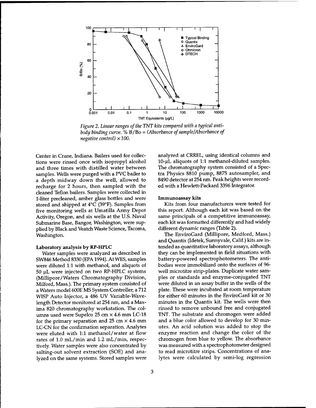

*Figure* 2. *Linear ranges of the TNT kits compared with a typical antibody binding curve.* % B/Bo = (Absorbance of sample/Absorbance of *negative control) xlOO.*

Center in Crane, Indiana. Bailers used for collections were rinsed once with isopropyl alcohol and three times with distilled water between samples. Wells were purged with a PVC bailer to a depth midway down the well, allowed to recharge for 2 hours, then sampled with the cleaned Teflon bailers. Samples were collected in 1-liter precleaned, amber glass bottles and were stored and shipped at 4°C (39°F). Samples from five monitoring wells at Umatilla Army Depot Activity, Oregon, and six wells at the U.S. Naval Submarine Base, Bangor, Washington, were supplied by Black and Veatch Waste Science, Tacoma, Washington.

## Laboratory analysis by RP-HPLC

Water samples were analyzed as described in SW846 Method 8330 (EPA 1994). At WES, samples were diluted 1:1 with methanol, and aliquots of  $50 \mu$ L were injected on two RP-HPLC systems (Millipore/Waters Chromatography Division, Milford, Mass.). The primary system consisted of a Waters model 600E MS System Controller, a 712 WISP Auto Injector, a 486 UV Variable-Wavelength Detector monitored at 254 nm, and a Maxima 820 chromatography workstation. The columns used were Supelco 25 cm x 4.6 mm LC-18 for the primary separation and 25 cm  $\times$  4.6 mm LC-CN for the confirmation separation. Analytes were eluted with 1:1 methanol/water at flow rates of 1.0 mL/min and 1.2 mL/min, respectively. Water samples were also concentrated by salting-out solvent extraction (SOE) and analyzed on the same systems. Stored samples were analyzed at CRREL, using identical columns and 10-µL aliquots of 1:1 methanol-diluted samples. The chromatography system consisted of a Spectra Physics 8810 pump, 8875 autosampler, and 8490 detector at 254 nm. Peak heights were recorded with a Hewlett-Packard 3396 Integrator.

#### Immunoassay kits

Kits from four manufacturers were tested for this report. Although each kit was based on the same principals of a competitive immunoassay, each kit was formatted differently and had widely different dynamic ranges (Table 2).

The EnviroGard (Millipore, Medford, Mass.) and Quantix (Idetek, Sunnyvale, Calif.) kits are intended as quantitative laboratory assays, although they can be implemented in field situations with battery-powered spectrophotometers. The antibodies were immobilized onto the surfaces of 96 well microtitre strip-plates. Duplicate water samples or standards and enzyme-conjugated TNT were diluted in an assay buffer in the wells of the plate. These were incubated at room temperature for either 60 minutes in the EnviroGard kit or 30 minutes in the Quantix kit. The wells were then rinsed to remove unbound free and conjugated TNT. The substrate and chromogen were added and a blue color allowed to develop for 30 minutes. An acid solution was added to stop the enzyme reaction and change the color of the chromogen from blue to yellow. The absorbance was measured with a spectrophotometer designed to read microtitre strips. Concentrations of analytes were calculated by semi-log regression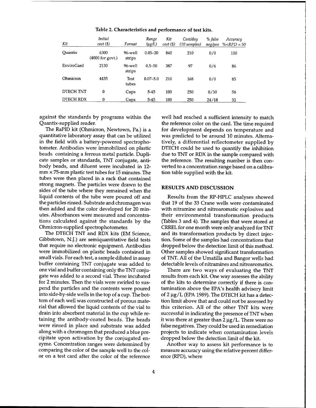| Kit               | <b>Initial</b><br>$cost(\$)$ | Format               | Range<br>$(\mu g/L)$ | Kit<br>$cost(\$)$ | Cost/day<br>(10 samples) | % false<br>neg/pos | Accuracy<br>% $RPD = 50$ |
|-------------------|------------------------------|----------------------|----------------------|-------------------|--------------------------|--------------------|--------------------------|
| Ouantix           | 6300<br>(4000 for govt.)     | 96-well<br>strips    | $0.05 - 20$          | 840               | 210                      | 0/0                | 100                      |
| <b>EnviroGard</b> | 2130                         | 96-well<br>strips    | $0.5 - 50$           | 387               | 97                       | 0/6                | 86                       |
| Ohmicron          | 4435                         | <b>Test</b><br>tubes | $0.07 - 5.0$         | 210               | 168                      | 0/0                | 85                       |
| <b>DTECH TNT</b>  | 0                            | Cups                 | $5 - 45$             | 100               | 250                      | 0/30               | 58                       |
| DTECH RDX         | 0                            | Cups                 | $5 - 45$             | 100               | 250                      | 24/18              | 32                       |

Table 2. Characteristics and performance of test kits.

against the standards by programs within the Quantix-supplied reader.

The RaPID kit (Ohmicron, Newtown, Pa.) is a quantitative laboratory assay that can be utilized in the field with a battery-powered spectrophotometer. Antibodies were immobilized on plastic beads containing a ferrous metal particle. Duplicate samples or standards, TNT conjugate, antibody beads, and diluent were incubated in 12  $mm \times 75$ -mm plastic test tubes for 15 minutes. The tubes were then placed in a rack that contained strong magnets. The particles were drawn to the sides of the tube where they remained when the liquid contents of the tube were poured off and the particles rinsed. Substrate and chromagen was then added and the color developed for 20 minutes. Absorbances were measured and concentrations calculated against the standards by the Ohmicron-supplied spectrophotometer.

The DTECH TNT and RDX kits (EM Science, Gibbstown, N.J.) are semiquantitative field tests that require no electronic equipment. Antibodies were immobilized on plastic beads contained in small vials. For each test, a sample diluted in assay buffer containing TNT conjugate was added to one vial and buffer containing only the TNT conjugate was added to a second vial. These incubated for 2 minutes. Then the vials were swirled to suspend the particles and the contents were poured into side-by-side wells in the top of a cup. The bottom of each well was constructed of porous material that allowed the liquid contents of the vial to drain into absorbent material in the cup while retaining the antibody-coated beads. The beads were rinsed in place and substrate was added along with a chromogen that produced a blue precipitate upon activation by the conjugated enzyme. Concentration ranges were determined by comparing the color of the sample well to the color on a test card after the color of the reference

well had reached a sufficient intensity to match the reference color on the card. The time required for development depends on temperature and was predicted to be around 10 minutes. Alternatively, a differential reflectometer supplied by DTECH could be used to quantify the inhibition due to TNT or RDX in the sample compared with the reference. The resulting number is then converted to a concentration range based on a calibration table supplied with the kit.

#### **RESULTS AND DISCUSSION**

Results from the RP-HPLC analyses showed that 19 of the 33 Crane wells were contaminated with nitramine and nitroaromatic explosives and their environmental transformation products (Tables 3 and 4). The samples that were stored at CRREL for one month were only analyzed for TNT and its transformation products by direct injection. Some of the samples had concentrations that dropped below the detection limit of this method. Other samples showed significant transformation of TNT. All of the Umatilla and Bangor wells had detectable levels of nitramines and nitroaromatics.

There are two ways of evaluating the TNT results from each kit. One way assesses the ability of the kits to determine correctly if there is contamination above the EPA's health advisory limit of 2  $\mu$ g/L (EPA 1989). The DTECH kit has a detection limit above that and could not be assessed by this criterion. All of the other TNT kits were successful in indicating the presence of TNT when it was there at greater than  $2 \mu g/L$ . There were no false negatives. They could be used in remediation projects to indicate when contamination levels dropped below the detection limit of the kit.

Another way to assess kit performance is to measure accuracy using the relative percent difference (RPD), where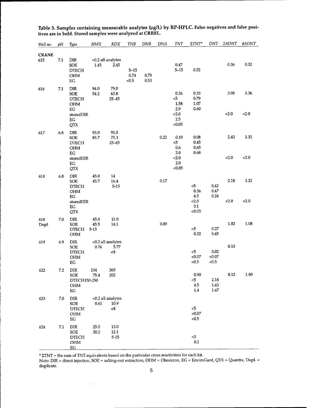| Well no.            | pН  | Type                                                                                   | HMX                      | <b>RDX</b>                       | TNB                       | DNB          | DNA  | TNT                                                   | $\Sigma TNT^*$                               | <b>DNT</b>               | 2ADNT         | 4ADNT         |
|---------------------|-----|----------------------------------------------------------------------------------------|--------------------------|----------------------------------|---------------------------|--------------|------|-------------------------------------------------------|----------------------------------------------|--------------------------|---------------|---------------|
| <b>CRANE</b><br>615 | 7.1 | DIR<br><b>SOE</b><br><b>DTECH</b><br><b>OHM</b><br>EG                                  | 1.45                     | <0.2 all analytes<br>2.45        | $5 - 15$<br>0.74<br>< 0.5 | 0.79<br>0.53 |      | 0.47<br>$5 - 15$                                      | 0.52                                         |                          | 0.36          | 0.32          |
| 616                 | 7.1 | DIR<br>SOE<br><b>DTECH</b><br><b>OHM</b><br>EG<br>storedDIR<br>$_{\rm EG}$<br>QTX      | 94.0<br>54.2             | 79.0<br>63.8<br>$25 - 45$        |                           |              |      | 0.26<br>$\leq$<br>1.58<br>2.9<br>2.0<br>2.5<br>< 0.05 | 0.33<br>0.79<br>1.07<br>0.60                 |                          | 3.08<br>< 2.0 | 1.36<br>< 2.0 |
| 617                 | 6.8 | <b>DIR</b><br><b>SOE</b><br><b>DTECH</b><br><b>OHM</b><br>EG<br>storedDIR<br>EG<br>QTX | 93.0<br>85.7             | 91.0<br>75.3<br>$25 - 45$        |                           |              | 0.22 | 0.19<br>$<$ 5<br>0.6<br>2.0<br>2.0<br>2.0<br>< 0.05   | 0.08<br>0.45<br>0.65<br>0.68                 |                          | 2.43<br>< 2.0 | 1.31<br>2.0   |
| 618                 | 6.8 | <b>DIR</b><br>SOE<br><b>DTECH</b><br>OHM<br>EG<br>storedDIR<br>EG<br><b>QTX</b>        | 45.0<br>45.7             | 14<br>16.4<br>$5 - 15$           |                           |              | 0.17 |                                                       | $5$<br>0.36<br>4.5<br>< 2.0<br>3.1<br>< 0.05 | 0.42<br>0.47<br>0.24     | 2.18<br>< 2.0 | 1.21<br>2.0   |
| 618<br>Dupl         | 7.0 | DIR<br><b>SOE</b><br><b>DTECH</b><br>OHM                                               | 45.0<br>45.5<br>$5 - 15$ | 11.0<br>14.1                     |                           |              | 0.09 |                                                       | $\leq 5$<br>0.32                             | 0.27<br>0.45             | 1.82          | 1.08          |
| 619                 | 6.9 | <b>DIR</b><br><b>SOE</b><br><b>DTECH</b><br>OHM<br>EG                                  | 0.76                     | <0.2 all analytes<br>5.77<br><5  |                           |              |      |                                                       | $5$<br>< 0.07<br>< 0.5                       | 0.02<br>< 0.07<br>< 0.5  | 0.13          |               |
| 622                 | 7.2 | DIR<br>SOE<br>DTECH150-250<br>OHM<br>$_{\rm EG}$                                       | 134<br>75.4              | 365<br>202                       |                           |              |      |                                                       | 0.98<br>5<br>4.5<br>1.4                      | 2.18<br>1.63<br>$1.67\,$ | 8.12          | 1.80          |
| 623                 | 7.0 | ${\rm DIR}$<br>SOE<br><b>DTECH</b><br>OHM<br>$\operatorname{EG}$                       | $0.61\,$                 | <0.2 all analytes<br>10.9<br>$5$ |                           |              |      |                                                       | $<$ 5<br>$<0.07$<br>< 0.5                    |                          |               |               |
| 624                 | 7.1 | ${\rm DIR}$<br>SOE<br><b>DTECH</b><br>OHM<br>$\underline{EG}$                          | 25.0<br>30.2             | 13.0<br>12.1<br>$5 - 15$         |                           |              |      |                                                       | $\leq$<br>$0.1\,$                            |                          |               |               |

**Table 3. Samples containing measurable analytes (Hg/L) by RP-HPLC. False negatives and false positives are in bold. Stored samples were analyzed at CRREL.**

 $*$   $\Sigma\text{INT}$  = the sum of TNT equivalents based on the particular cross reactivities for each kit.

 $\hat{\mathbf{v}}$ 

Note: DIR = direct injection, SOE = salting-out extraction, OHM = Ohmicron, EG = EnviroGard, QTX = Quantix, Dupl. duplicate.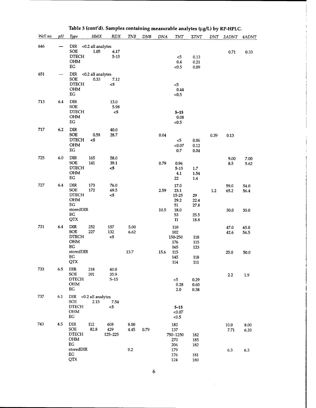|          |     |                                                                                          |                           | Table 3 (cont d). Samples containing measurable analytes (µg/L) by RP-HPLC. |                      |            |              |                                                          |                                    |         |                      |                      |
|----------|-----|------------------------------------------------------------------------------------------|---------------------------|-----------------------------------------------------------------------------|----------------------|------------|--------------|----------------------------------------------------------|------------------------------------|---------|----------------------|----------------------|
| Well no. | pH  | Type                                                                                     | HMX                       | RDX                                                                         | <b>TNB</b>           | <b>DNB</b> | DNA          | TNT                                                      | ΣTNT                               | DNT     | 2ADNT                | 4ADNT                |
| 646      |     | <b>DIR</b><br>SOE<br><b>DTECH</b><br>OHM<br>EG                                           | <0.2 all analytes<br>1.05 | 6.17<br>$5 - 15$                                                            |                      |            |              | $5$<br>0.4<br>< 0.5                                      | 0.13<br>0.21<br>0.09               |         | 0.71                 | 0.33                 |
| 651      |     | DIR<br><b>SOE</b><br><b>DTECH</b><br>OHM<br>EG                                           | <0.2 all analytes<br>0.33 | 7.12<br><5                                                                  |                      |            |              | < 5<br>0.44<br>< 0.5                                     |                                    |         |                      |                      |
| 713      | 6.4 | <b>DIR</b><br><b>SOE</b><br><b>DTECH</b><br>OHM<br>EG                                    |                           | 13.0<br>5.98<br>$5$                                                         |                      |            |              | $5 - 15$<br>$0.08\,$<br>< 0.5                            |                                    |         |                      |                      |
| 717      | 6.2 | <b>DIR</b><br><b>SOE</b><br>$\ensuremath{\mathsf{DTECH}}$<br><b>OHM</b><br>EG            | 0.58<br>$5$               | 40.0<br>28.7                                                                |                      |            | 0.04         | $\leq$<br>< 0.07<br>0.7                                  | 0.06<br>0.12<br>0.04               | 0.39    | 0.13                 |                      |
| 725      | 6.0 | <b>DIR</b><br><b>SOE</b><br><b>DTECH</b><br>OHM<br>$_{\rm EG}$                           | 165<br>141                | 58.0<br>39.1<br><5                                                          |                      |            | 0.79         | 0.96<br>$5 - 15$<br>4.1<br>22                            | $1.7\,$<br>1.54<br>1.4             |         | 9.00<br>8.5          | 7.00<br>5.62         |
| 727      | 6.4 | <b>DIR</b><br><b>SOE</b><br><b>DTECH</b><br><b>OHM</b><br>EG<br>storedDIR<br>EG<br>QTX   | 173<br>172                | 76.0<br>69.5<br>$<$ 5                                                       |                      |            | 2.59<br>10.5 | 17.0<br>23.1<br>15-25<br>29.2<br>51<br>18.0<br>53<br>11  | 29<br>22.4<br>27.8<br>25.5<br>18.8 | $1.2\,$ | 59.0<br>65.2<br>30.0 | 54.0<br>56.4<br>30.0 |
| 731      | 6.4 | <b>DIR</b><br><b>SOE</b><br><b>DTECH</b><br>OHM<br>$_{\rm EG}$<br>storedDIR<br>EG<br>QTX | 252<br>227                | 157<br>132<br>$5$                                                           | 5.00<br>6.62<br>13.7 |            | 15.6         | 110<br>102<br>150-250<br>176<br>165<br>115<br>145<br>114 | 118<br>115<br>123<br>118<br>111    |         | 47.0<br>42.6<br>25.0 | 65.0<br>56.5<br>50.0 |
| 733      | 6.5 | DIR<br><b>SOE</b><br><b>DTECH</b><br><b>OHM</b><br>$_{\rm EG}$                           | 218<br>201                | 40.0<br>35.9<br>$5 - 15$                                                    |                      |            |              | 5<br>0.28<br>2.0                                         | 0.29<br>0.60<br>0.38               |         | 2.2                  | 1.9                  |
| 737      | 6.1 | DIR <0.2 all analytes<br><b>SOE</b><br><b>DTECH</b><br>$\rm OHM$<br>EG                   | 2.15                      | 7.54<br>$5$                                                                 |                      |            |              | $5 - 15$<br>< 0.07<br>< 0.5                              |                                    |         |                      |                      |
| 743      | 4.5 | <b>DIR</b><br><b>SOE</b><br><b>DTECH</b><br>OHM<br>EG                                    | 112<br>82.8               | 608<br>429<br>125-225                                                       | 8.00<br>4.45         | 0.79       |              | 180<br>137<br>750-1250<br>270<br>206                     | 182<br>185<br>182                  |         | 10.0<br>7.71         | 8.00<br>6.20         |
|          |     | storedDIR<br>EG<br>QTX                                                                   |                           |                                                                             | 9.2                  |            |              | 179<br>176<br>124                                        | 181<br>180                         |         | 6.3                  | 6.3                  |

| Table 3 (cont'd). Samples containing measurable analytes (µg/L) by RP-HPLC. |  |  |  |
|-----------------------------------------------------------------------------|--|--|--|
|-----------------------------------------------------------------------------|--|--|--|

 $\overline{6}$ 

 $\sim$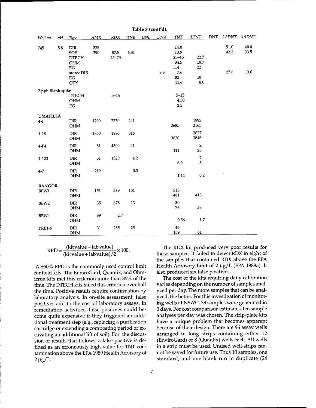| Well no.                 | pΗ  | <b>Type</b>                                                                       | <b>HMX</b> | <b>RDX</b>        | <b>TNB</b> | <b>DNB</b> | <b>DNA</b> | TNT                                                           | $\Sigma TNT$                                | <b>DNT</b> | 2ADNT                | 4ADNT                |
|--------------------------|-----|-----------------------------------------------------------------------------------|------------|-------------------|------------|------------|------------|---------------------------------------------------------------|---------------------------------------------|------------|----------------------|----------------------|
| 745                      | 5.8 | <b>DIR</b><br>SOE<br><b>DTECH</b><br>OHM<br>EG<br>storedDIR<br>$_{\rm EG}$<br>QTX | 325<br>290 | 87.5<br>$25 - 75$ | 6.31       |            | 8.3        | 14.0<br>13.9<br>$25 - 45$<br>34.5<br>114<br>7.6<br>82<br>11.6 | 22.7<br>18.7<br>22<br>${\bf 18}$<br>$8.0\,$ |            | 51.0<br>42.3<br>27.6 | 40.0<br>33.5<br>13.6 |
| 2 ppb Blank spike        |     | <b>DTECH</b><br>$\rm OHM$<br>EG                                                   |            | $5 - 15$          |            |            |            | $5 - 15$<br>4.30<br>2.3                                       |                                             |            |                      |                      |
| <b>UMATILLA</b><br>$4-1$ |     | ${\rm DIR}$<br>OHM                                                                | 1290       | 2370              | 241        |            |            | 2685                                                          | 1993<br>2165                                |            |                      |                      |
| $4 - 18$                 |     | DIR<br>OHM                                                                        | 1850       | 1880              | 316        |            |            | 3620                                                          | 3627<br>3848                                |            |                      |                      |
| $4-P4$                   |     | <b>DIR</b><br>OHM                                                                 | 81         | 4500              | 41         |            |            | 111                                                           | $\overline{2}$<br>28                        |            |                      |                      |
| 4-103                    |     | DIR<br>OHM                                                                        | 51         | 1520              | 4.2        |            |            | 6.9                                                           | $\overline{\mathbf{c}}$<br>5                |            |                      |                      |
| $4 - 7$                  |     | DIR<br>$\rm{OHM}$                                                                 | 219        |                   | 0.3        |            |            | 1.44                                                          | 0.2                                         |            |                      |                      |
| <b>BANGOR</b><br>BEW1    |     | <b>DIR</b><br>OHM                                                                 | 151        | 539               | 151        |            |            | 315<br>481                                                    | 413                                         |            |                      |                      |
| BEW <sub>2</sub>         |     | ${\rm DIR}$<br>OHM                                                                | 35         | 678               | 13         |            |            | 30<br>76                                                      | 38                                          |            |                      |                      |
| BEW4                     |     | <b>DIR</b><br><b>OHM</b>                                                          | 39         | $2.7\,$           |            |            |            | 0.56                                                          | 1.7                                         |            |                      |                      |
| <b>PRE1-6</b>            |     | DIR<br>OHM                                                                        | 31         | 285               | 23         |            |            | 46<br>159                                                     | 61                                          |            |                      |                      |

**Table 3 (cont'd).**

 $RPD = \frac{(kit value - )}{(1 + (-))}$ kit value+  $-\text{lab value}$   $\times 100$ . lab value)/2

A ±50% RPD is the commonly used control limit for field kits. The EnviroGard, Quantix, and Ohmicron kits met this criterion more than 85% of the time. The DTECH kits failed this criterion over half the time. Positive results require confirmation by laboratory analysis. In on-site assessment, false positives add to the cost of laboratory assays. In remediation activities, false positives could become quite expensive if they triggered an additional treatment step (e.g., replacing a purification cartridge or extending a composting period or excavating an additional lift of soil). For the discussion of results that follows, a false positive is defined as an erroneously high value for TNT contamination above the EPA 1989 Health Advisory of  $2 \mu g/L$ .

The RDX kit produced very poor results for these samples. It failed to detect RDX in eight of the samples that contained RDX above the EPA Health Advisory limit of 2 µg/L (EPA 1988a). It also produced six false positives.

The cost of the kits requiring daily calibration varies depending on the number of samples analyzed per day. The more samples that can be analyzed, the better. For this investigation of monitoring wells at NSWC, 33 samples were generated in 3 days. For cost comparison estimates, ten sample analyses per day was chosen. The strip-plate kits have a unique problem that becomes apparent because of their design. There are 96 assay wells arranged in long strips containing either 12 (EnviroGard) or 8 (Quantix) wells each. All wells in a strip must be used. Unused well-strips cannot be saved for future use. Thus 10 samples, one standard, and one blank run in duplicate (24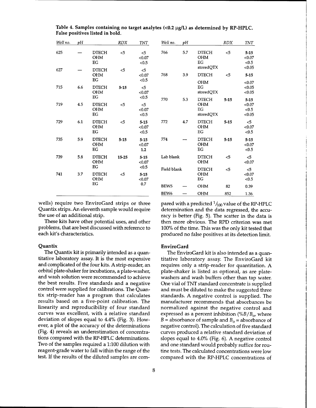| Well no. | vΗ  |                                        | <b>RDX</b> | <b>TNT</b>                           | Well no.         | υH  |                                               | <b>RDX</b> | <b>TNT</b>                            |
|----------|-----|----------------------------------------|------------|--------------------------------------|------------------|-----|-----------------------------------------------|------------|---------------------------------------|
| 625      |     | <b>DTECH</b><br><b>OHM</b><br>EG       | $<$ 5      | < 5<br>< 0.07<br>< 0.5               | 766              | 5.7 | <b>DTECH</b><br><b>OHM</b><br>EG              | 5          | $5 - 15$<br>< 0.07<br>< 0.5           |
| 627      |     | <b>DTECH</b><br><b>OHM</b><br>EG       | < 5        | < 5<br>< 0.07<br>< 0.5               | 768              | 3.9 | storedQTX<br><b>DTECH</b>                     | $<$ 5      | < 0.05<br>$5 - 15$                    |
| 715      | 6.6 | <b>DTECH</b><br><b>OHM</b>             | $5 - 15$   | $<$ 5<br>< 0.07                      |                  |     | <b>OHM</b><br>EG<br>storedQTX                 |            | < 0.07<br>< 0.05<br>< 0.05            |
| 719      | 4.5 | EG<br><b>DTECH</b><br><b>OHM</b><br>EG | < 5        | < 0.5<br>$\leq$ 5<br>< 0.07<br>< 0.5 | 770              | 5.3 | <b>DTECH</b><br><b>OHM</b><br>EG<br>storedQTX | $5 - 15$   | $5 - 15$<br>< 0.07<br>< 0.5<br>< 0.05 |
| 729      | 6.1 | <b>DTECH</b><br><b>OHM</b><br>EG       | $5$        | $5 - 15$<br>< 0.07<br>< 0.5          | 772              | 4.7 | <b>DTECH</b><br><b>OHM</b><br>EG              | $5 - 15$   | $5$<br>< 0.07<br>< 0.5                |
| 735      | 5.9 | <b>DTECH</b><br><b>OHM</b><br>EG       | $5 - 15$   | $5 - 15$<br>< 0.07<br>1.2            | 774              |     | <b>DTECH</b><br><b>OHM</b><br>EG              | $5 - 15$   | $5 - 15$<br>< 0.07<br>< 0.5           |
| 739      | 5.8 | <b>DTECH</b><br><b>OHM</b><br>EG       | 15-25      | $5 - 15$<br>< 0.07                   | Lab blank        |     | <b>DTECH</b><br><b>OHM</b>                    | $\leq$ 5   | 5<<br>< 0.07                          |
| 741      | 3.7 | <b>DTECH</b><br><b>OHM</b>             | $<$ 5      | < 0.5<br>$5 - 15$<br>< 0.07          | Field blank      |     | <b>DTECH</b><br><b>OHM</b><br>EG              | $<$ 5      | $<$ 5<br>< 0.07<br>< 0.5              |
|          |     | EG                                     |            | 0.7                                  | BEW <sub>5</sub> |     | <b>OHM</b>                                    | 82         | 0.39                                  |
|          |     |                                        |            |                                      | BEW <sub>6</sub> |     | <b>OHM</b>                                    | 852        | 1.36                                  |

**Table 4. Samples containing no target analytes (<0.2 |ig/L) as determined by RP-HPLC. False positives listed in bold.**

wells) require two EnviroGard strips or three Quantix strips. An eleventh sample would require the use of an additional strip.

These kits have other potential uses, and other problems, that are best discussed with reference to each kit's characteristics.

### **Quantix**

The Quantix kit is primarily intended as a quantitative laboratory assay. It is the most expensive and complicated of the four kits. A strip-reader, an orbital plate-shaker for incubations, a plate-washer, and wash solution were recommended to achieve the best results. Five standards and a negative control were supplied for calibrations. The Quantix strip-reader has a program that calculates results based on a five-point calibration. The linearity and reproducibility of four standard curves was excellent, with a relative standard deviation of slopes equal to 4.4% (Fig. 3). However, **a** plot of the accuracy of the determinations (Fig. 4) reveals an underestimation of concentrations compared with the RP-HPLC determinations. Two of the samples required a 1:100 dilution with reagent-grade water to fall within the range of the test. If the results of the diluted samples are compared with a predicted  $\frac{1}{100}$  value of the RP-HPLC determination and the data regressed, the accuracy is better (Fig. 5). The scatter in the data is then more obvious. The RPD criterion was met 100% of the time. This was the only kit tested that produced no false positives at its detection limit.

### **EnviroGard**

The EnviroGard kit is also intended as a quantitative laboratory assay. The EnviroGard kit requires only a strip-reader for quantitation. A plate-shaker is listed as optional, as are platewashers and wash buffers other than tap water. One vial of TNT standard concentrate is supplied and must be diluted to make the suggested three standards. A negative control is supplied. The manufacturer recommends that absorbances be normalized against the negative control and expressed as a percent inhibition *(%B/B0,* where *B* = absorbance of sample and  $B_0$  = absorbance of negative control). The calculation of five standard curves produced a relative standard deviation of slopes equal to 4.0% (Fig. 6). A negative control and one standard would probably suffice for routine tests. The calculated concentrations were low compared with the RP-HPLC concentrations of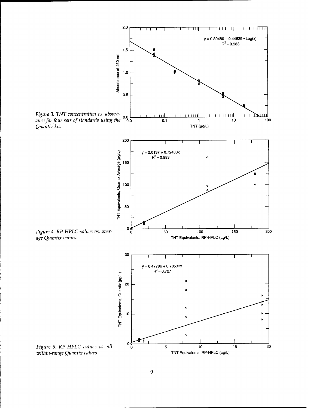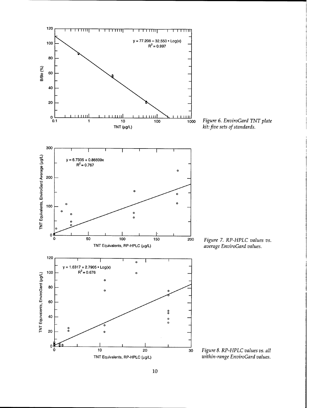

<sup>200</sup> *Figure 7. RP-HPLC values vs. average EnviroGard values.*

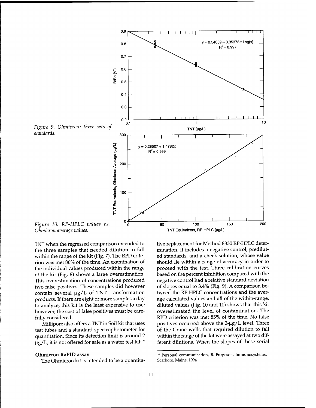

TNT when the regressed comparison extended to the three samples that needed dilution to fall within the range of the kit (Fig. 7). The RPD criterion was met 86% of the time. An examination of the individual values produced within the range of the kit (Fig. 8) shows a large overestimation. This overestimation of concentrations produced two false positives. These samples did however contain several  $\mu g/L$  of TNT transformation products. If there are eight or more samples a day to analyze, this kit is the least expensive to use; however, the cost of false positives must be carefully considered.

Millipore also offers a TNT in Soil kit that uses test tubes and a standard spectrophotometer for quantitation. Since its detection limit is around 2  $\mu$ g/L, it is not offered for sale as a water test kit. \*

#### **Ohmicron RaPID** assay

The Ohmicron kit is intended to be a quantita-

tive replacement for Method 8330 RP-HPLC determination. It includes a negative control, prediluted standards, and a check solution, whose value should lie within a range of accuracy in order to proceed with the test. Three calibration curves based on the percent inhibition compared with the negative control had a relative standard deviation of slopes equal to 3.4% (Fig. 9). A comparison between the RP-HPLC concentrations and the average calculated values and all of the within-range, diluted values (Fig. 10 and 11) shows that this kit overestimated the level of contamination. The RPD criterion was met 85% of the time. No false positives occurred above the  $2-\mu g/L$  level. Three of the Crane wells that required dilution to fall within the range of the kit were assayed at two different dilutions. When the slopes of these serial

<sup>\*</sup> Personal communication, B. Furgeson, Immunosystems, Scarboro, Maine, 1994.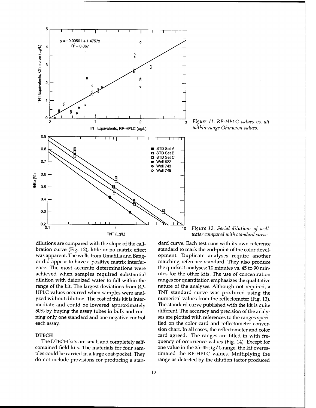

3 *Figure 11. RP-HPLC values vs. all within-range Ohmicron values.*

dilutions are compared with the slope of the calibration curve (Fig. 12), little or no matrix effect was apparent. The wells from Umatilla and Bangor did appear to have a positive matrix interference. The most accurate determinations were achieved when samples required substantial dilution with deionized water to fall within the range of the kit. The largest deviations from RP-HPLC values occurred when samples were analyzed without dilution. The cost of this kit is intermediate and could be lowered approximately 50% by buying the assay tubes in bulk and running only one standard and one negative control each assay.

## **DTECH**

The DTECH kits are small and completely selfcontained field kits. The materials for four samples could be carried in a large coat-pocket. They do not include provisions for producing a stan-

*Figure 12. Serial dilutions of well water compared with standard curve.*

dard curve. Each test runs with its own reference standard to mark the end-point of the color development. Duplicate analyses require another matching reference standard. They also produce the quickest analyses: 10 minutes vs. 45 to 90 minutes for the other kits. The use of concentration ranges for quantitation emphasizes the qualitative nature of the analyses. Although not required, a TNT standard curve was produced using the numerical values from the reflectometer (Fig. 13). The standard curve published with the kit is quite different. The accuracy and precision of the analyses are plotted with references to the ranges specified on the color card and reflectometer conversion chart. In all cases, the reflectometer and color card agreed. The ranges are filled in with frequency of occurrence values (Fig. 14). Except for one value in the  $25-45$ - $\mu$ g/L range, the kit overestimated the RP-HPLC values. Multiplying the range as detected by the dilution factor produced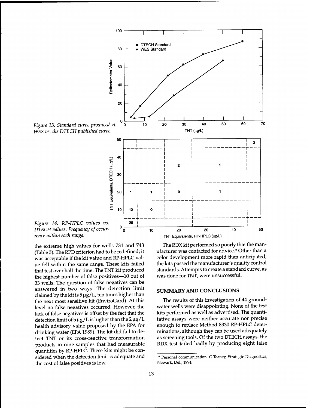

the extreme high values for wells 731 and 743 (Table 3). The RPD criterion had to be redefined; it was acceptable if the kit value and RP-HPLC value fell within the same range. These kits failed that test over half the time. The TNT kit produced the highest number of false positives—10 out of 33 wells. The question of false negatives can be answered in two ways. The detection limit claimed by the kit is  $5 \mu g/L$ , ten times higher than the next most sensitive kit (EnviroGard). At this level no false negatives occurred. However, the lack of false negatives is offset by the fact that the detection limit of  $5 \mu g/L$  is higher than the  $2 \mu g/L$ health advisory value proposed by the EPA for drinking water (EPA 1989). The kit did fail to detect TNT or its cross-reactive transformation products in nine samples that had measurable quantities by RP-HPLC. These kits might be considered when the detection limit is adequate and the cost of false positives is low.

The RDX kit performed so poorly that the manufacturer was contacted for advice.\* Other than a color development more rapid than anticipated, the kits passed the manufacturer's quality control standards. Attempts to create a standard curve, as was done for TNT, were unsuccessful.

## **SUMMARY AND CONCLUSIONS**

The results of this investigation of 44 groundwater wells were disappointing. None of the test kits performed as well as advertised. The quantitative assays were neither accurate nor precise enough to replace Method 8330 RP-HPLC determinations, although they can be used adequately as screening tools. Of the two DTECH assays, the RDX test failed badly by producing eight false

<sup>\*</sup> Personal communication, G.Teaney, Strategic Diagnostics, Newark, Del., 1994.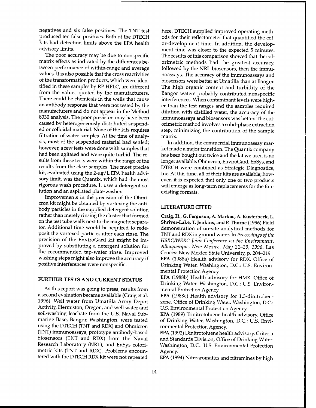negatives and six false positives. The TNT test produced ten false positives. Both of the DTECH kits had detection limits above the EPA health advisory limits.

The poor accuracy may be due to nonspecific matrix effects as indicated by the differences between performance of within-range and average values. It is also possible that the cross reactivities of the transformation products, which were identified in these samples by RP-HPLC, are different from the values quoted by the manufacturers. There could be chemicals in the wells that cause an antibody response that were not tested by the manufacturers and do not appear in the Method 8330 analysis. The poor precision may have been caused by heterogeneously distributed suspended or colloidal material. None of the kits requires filtration of water samples. At the time of analysis, most of the suspended material had settled; however, a few tests were done with samples that had been agitated and were quite turbid. The results from these tests were within the range of the results from the clear samples. The most precise kit, evaluated using the 2-µg/L EPA health advisory limit, was the Quantix, which had the most rigorous wash procedure. It uses a detergent solution and an aspirated plate-washer.

Improvements in the precision of the Ohmicron kit might be obtained by vortexing the antibody particles in the supplied detergent solution rather than merely rinsing the cluster that formed on the test tube walls next to the magnetic separator. Additional time would be required to redeposit the vortexed particles after each rinse. The precision of the EnviroGard kit might be improved by substituting a detergent solution for the recommended tap-water rinse. Improved washing steps might also improve the accuracy if positive interferences were nonspecific.

## **FURTHER TESTS AND CURRENT STATUS**

As this report was going to press, results from a second evaluation became available (Craig et al. 1996). Well water from Umatilla Army Depot Activity, Hermiston, Oregon, and well water and soil-washing leachate from the U.S. Naval Submarine Base, Bangor, Washington, were tested using the DTECH (TNT and RDX) and Ohmicron (TNT) immunoassays, prototype antibody-based biosensors (TNT and RDX) from the Naval Research Laboratory (NRL), and EnSys colorimetric kits (TNT and RDX). Problems encountered with the DTECH RDX kit were not repeated

here. DTECH supplied improved operating methods for their reflectometer that quantified the color-development time. In addition, the development time was closer to the expected 5 minutes. The results of this comparison showed that the colorimetric methods had the greatest accuracy, followed by the NRL biosensors, then the immunoassays. The accuracy of the immunoassays and biosensors were better at Umatilla than at Bangor. The high organic content and turbidity of the Bangor waters probably contributed nonspecific interferences. When contaminant levels were higher than the test ranges and the samples required dilution with distilled water, the accuracy of the immunoassays and biosensors was better. The colorimetric method involves a solid-phase extraction step, minimizing the contribution of the sample matrix.

In addition, the commercial immunoassay market made a major transition. The Quantix company has been bought out twice and the kit we used is no longer available. Ohmicron, EnviroGard, EnSys, and DTECH were combined as Strategic Diagnostics, Inc. At this time, all of their kits are available; however, it is expected that only one or two products will emerge as long-term replacements for the four existing formats.

## **LITERATURE CITED**

**Craig, H., G. Ferguson, A. Markos, A. Kusterbeck, L. Shriver-Lake, T. Jenkins, and P. Thome** (1996) Field demonstration of on-site analytical methods for TNT and RDX in ground water. In *Proceedings of the HSRC/WERC Joint Conference on the Environment, Albuquerque, New Mexico, May 21-23, 1996.* Las Cruces: New Mexico State University, p. 204-219. **EPA** (1988a) Health advisory for RDX. Office of Drinking Water. Washington, D.C.: U.S. Environmental Protection Agency.

**EPA** (1988b) Health advisory for HMX. Office of Drinking Water. Washington, DC: U.S. Environmental Protection Agency.

**EPA** (1988c) Health advisory for 1,3-dinitrobenzene. Office of Drinking Water. Washington, D.C.: U.S. Environmental Protection Agency.

**EPA** (1989) Trinitrotoluene health advisory. Office of Drinking Water, Washington, D.C.: U.S. Environmental Protection Agency.

**EPA** (1992) Dinitrotoluene health advisory. Criteria and Standards Division, Office of Drinking Water. Washington, D.C.: U.S. Environmental Protection Agency.

**EPA** (1994) Nitroaromatics and nitramines by high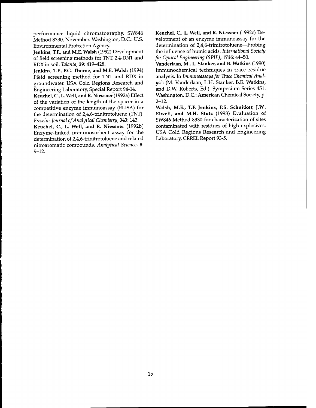performance liquid chromatography. SW846 Method 8330, November. Washington, D.C.: U.S. Environmental Protection Agency.

**Jenkins, T.F., and M.E. Walsh** (1992) Development of field screening methods for TNT, 2,4-DNT and RDX in soil. *Talanta,* 39: 419-428.

**Jenkins, T.F., P.G. Thome, and M.E. Walsh** (1994) Field screening method for TNT and RDX in groundwater. USA Cold Regions Research and Engineering Laboratory, Special Report 94-14.

**Keuchel, C, L. Well, and R. Niessner** (1992a) Effect of the variation of the length of the spacer in a competitive enzyme immunoassay (ELISA) for the determination of 2,4,6-trinitrotoluene (TNT). *Freseius Journal ofAnalytical Chemistry,* 343:143.

**Keuchel, C, L. Well, and R. Niessner** (1992b) Enzyme-linked immunosorbent assay for the determination of 2,4,6-trinitrotoluene and related nitroaromatic compounds. *Analytical Science,* **8:** 9-12.

**Keuchel, C, L. Well, and R. Niessner** (1992c) Development of an enzyme immunoassay for the determination of 2,4,6-trinitrotoluene—Probing the influence of humic acids. *International Society for Optical Engineering (SPIE),* **1716:**44-50.

**Vanderlaan, M., L. Stanker, and B. Watkins** (1990) Immunochemical techniques in trace residue analysis. In *Immunoassaysfor Trace Chemical Analysis* (M. Vanderlaan, L.H. Stanker, B.E. Watkins, and D.W. Roberts, Ed.). Symposium Series 451. Washington, D.C.: American Chemical Society, p. 2-12.

**Walsh, M.E., T.F. Jenkins, P.S. Schnitker, J.W. Elwell, and M.H. Stutz** (1993) Evaluation of SW846 Method 8330 for characterization of sites contaminated with residues of high explosives. USA Cold Regions Research and Engineering Laboratory, CRREL Report 93-5.